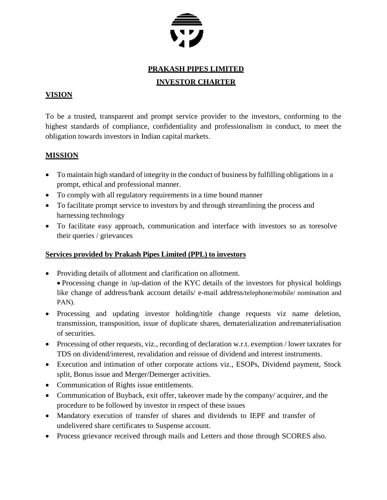

# **PRAKASH PIPES LIMITED INVESTOR CHARTER**

# **VISION**

To be a trusted, transparent and prompt service provider to the investors, conforming to the highest standards of compliance, confidentiality and professionalism in conduct, to meet the obligation towards investors in Indian capital markets.

# **MISSION**

- To maintain high standard of integrity in the conduct of business by fulfilling obligations in a prompt, ethical and professional manner.
- To comply with all regulatory requirements in a time bound manner
- To facilitate prompt service to investors by and through streamlining the process and harnessing technology
- To facilitate easy approach, communication and interface with investors so as toresolve their queries / grievances

### **Services provided by Prakash Pipes Limited (PPL) to investors**

- Providing details of allotment and clarification on allotment.
- Processing change in /up-dation of the KYC details of the investors for physical holdings like change of address/bank account details/ e-mail address/telephone/mobile/ nomination and PAN).
- Processing and updating investor holding/title change requests viz name deletion, transmission, transposition, issue of duplicate shares, dematerialization andrematerialisation of securities.
- Processing of other requests, viz., recording of declaration w.r.t. exemption / lower taxrates for TDS on dividend/interest, revalidation and reissue of dividend and interest instruments.
- Execution and intimation of other corporate actions viz., ESOPs, Dividend payment, Stock split, Bonus issue and Merger/Demerger activities.
- Communication of Rights issue entitlements.
- Communication of Buyback, exit offer, takeover made by the company/ acquirer, and the procedure to be followed by investor in respect of these issues
- Mandatory execution of transfer of shares and dividends to IEPF and transfer of undelivered share certificates to Suspense account.
- Process grievance received through mails and Letters and those through SCORES also.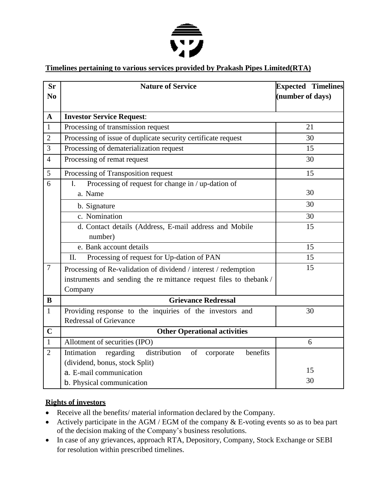

# **Timelines pertaining to various services provided by Prakash Pipes Limited(RTA)**

| <b>Sr</b><br>N <sub>0</sub> | <b>Nature of Service</b>                                               | <b>Expected Timelines</b><br>(number of days) |  |  |  |
|-----------------------------|------------------------------------------------------------------------|-----------------------------------------------|--|--|--|
| $\mathbf{A}$                | <b>Investor Service Request:</b>                                       |                                               |  |  |  |
| $\mathbf{1}$                | Processing of transmission request                                     | 21                                            |  |  |  |
| $\overline{2}$              | Processing of issue of duplicate security certificate request          | 30                                            |  |  |  |
| $\overline{3}$              | Processing of dematerialization request                                | 15                                            |  |  |  |
| $\overline{4}$              | Processing of remat request                                            | 30                                            |  |  |  |
| 5                           | Processing of Transposition request                                    | 15                                            |  |  |  |
| 6                           | Processing of request for change in / up-dation of<br>Ι.               |                                               |  |  |  |
|                             | a. Name                                                                | 30                                            |  |  |  |
|                             | b. Signature                                                           | 30                                            |  |  |  |
|                             | c. Nomination                                                          | 30                                            |  |  |  |
|                             | d. Contact details (Address, E-mail address and Mobile                 | 15                                            |  |  |  |
|                             | number)                                                                |                                               |  |  |  |
|                             | e. Bank account details                                                | 15                                            |  |  |  |
|                             | Processing of request for Up-dation of PAN<br>II.                      | 15                                            |  |  |  |
| $\overline{7}$              | Processing of Re-validation of dividend / interest / redemption        | 15                                            |  |  |  |
|                             | instruments and sending the remittance request files to thebank/       |                                               |  |  |  |
|                             | Company                                                                |                                               |  |  |  |
| B                           | <b>Grievance Redressal</b>                                             |                                               |  |  |  |
| $\mathbf{1}$                | Providing response to the inquiries of the investors and               | 30                                            |  |  |  |
|                             | <b>Redressal of Grievance</b>                                          |                                               |  |  |  |
| $\mathbf C$                 | <b>Other Operational activities</b>                                    |                                               |  |  |  |
| $\mathbf{1}$                | Allotment of securities (IPO)                                          | 6                                             |  |  |  |
| $\overline{2}$              | distribution<br>Intimation<br>regarding<br>of<br>benefits<br>corporate |                                               |  |  |  |
|                             | (dividend, bonus, stock Split)                                         | 15                                            |  |  |  |
|                             | a. E-mail communication                                                | 30                                            |  |  |  |
|                             | b. Physical communication                                              |                                               |  |  |  |

#### **Rights of investors**

- Receive all the benefits/ material information declared by the Company.
- Actively participate in the AGM / EGM of the company & E-voting events so as to bea part of the decision making of the Company's business resolutions.
- In case of any grievances, approach RTA, Depository, Company, Stock Exchange or SEBI for resolution within prescribed timelines.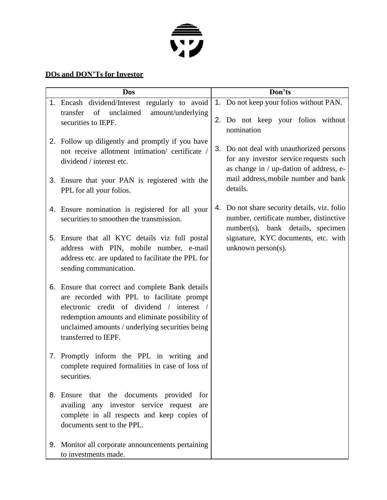

# **DOs and DON'Ts for Investor**

| <b>Dos</b> |                                                                                                                                                                                                                                                                         |  | Don'ts                                                                                                                                                                                        |  |
|------------|-------------------------------------------------------------------------------------------------------------------------------------------------------------------------------------------------------------------------------------------------------------------------|--|-----------------------------------------------------------------------------------------------------------------------------------------------------------------------------------------------|--|
|            | 1. Encash dividend/Interest regularly to avoid<br>transfer<br>of<br>unclaimed<br>amount/underlying<br>securities to IEPF.                                                                                                                                               |  | 1. Do not keep your folios without PAN.<br>2. Do not keep your folios without<br>nomination                                                                                                   |  |
|            | 2. Follow up diligently and promptly if you have<br>not receive allotment intimation/ certificate /<br>dividend / interest etc.                                                                                                                                         |  | 3. Do not deal with unauthorized persons<br>for any investor service requests such<br>as change in / up-dation of address, e-<br>mail address, mobile number and bank<br>details.             |  |
| 3.         | Ensure that your PAN is registered with the<br>PPL for all your folios.                                                                                                                                                                                                 |  |                                                                                                                                                                                               |  |
| 4.         | Ensure nomination is registered for all your<br>securities to smoothen the transmission.                                                                                                                                                                                |  | 4. Do not share security details, viz. folio<br>number, certificate number, distinctive<br>number(s), bank details, specimen<br>signature, KYC documents, etc. with<br>unknown person $(s)$ . |  |
| 5.         | Ensure that all KYC details viz full postal<br>address with PIN, mobile number, e-mail<br>address etc. are updated to facilitate the PPL for<br>sending communication.                                                                                                  |  |                                                                                                                                                                                               |  |
| 6.         | Ensure that correct and complete Bank details<br>are recorded with PPL to facilitate prompt<br>electronic credit of dividend / interest /<br>redemption amounts and eliminate possibility of<br>unclaimed amounts / underlying securities being<br>transferred to IEPF. |  |                                                                                                                                                                                               |  |
|            | 7. Promptly inform the PPL in writing and<br>complete required formalities in case of loss of<br>securities.                                                                                                                                                            |  |                                                                                                                                                                                               |  |
| 8.         | Ensure that the documents provided for<br>availing any investor service request are<br>complete in all respects and keep copies of<br>documents sent to the PPL.                                                                                                        |  |                                                                                                                                                                                               |  |
| 9.         | Monitor all corporate announcements pertaining<br>to investments made.                                                                                                                                                                                                  |  |                                                                                                                                                                                               |  |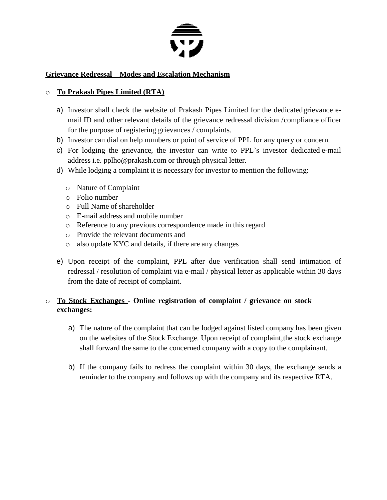

### **Grievance Redressal – Modes and Escalation Mechanism**

### o **To Prakash Pipes Limited (RTA)**

- a) Investor shall check the website of Prakash Pipes Limited for the dedicatedgrievance email ID and other relevant details of the grievance redressal division /compliance officer for the purpose of registering grievances / complaints.
- b) Investor can dial on help numbers or point of service of PPL for any query or concern.
- c) For lodging the grievance, the investor can write to PPL's investor dedicated e-mail address i.e. pplho@prakash.com or through physical letter.
- d) While lodging a complaint it is necessary for investor to mention the following:
	- o Nature of Complaint
	- o Folio number
	- o Full Name of shareholder
	- o E-mail address and mobile number
	- o Reference to any previous correspondence made in this regard
	- o Provide the relevant documents and
	- o also update KYC and details, if there are any changes
- e) Upon receipt of the complaint, PPL after due verification shall send intimation of redressal / resolution of complaint via e-mail / physical letter as applicable within 30 days from the date of receipt of complaint.

# o **To Stock Exchanges - Online registration of complaint / grievance on stock exchanges:**

- a) The nature of the complaint that can be lodged against listed company has been given on the websites of the Stock Exchange. Upon receipt of complaint,the stock exchange shall forward the same to the concerned company with a copy to the complainant.
- b) If the company fails to redress the complaint within 30 days, the exchange sends a reminder to the company and follows up with the company and its respective RTA.